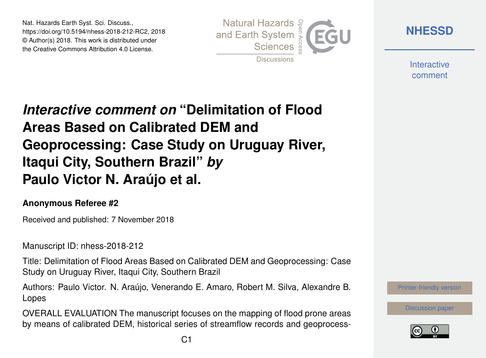Nat. Hazards Earth Syst. Sci. Discuss., https://doi.org/10.5194/nhess-2018-212-RC2, 2018 © Author(s) 2018. This work is distributed under the Creative Commons Attribution 4.0 License.



**[NHESSD](https://www.nat-hazards-earth-syst-sci-discuss.net/)**

**Interactive** comment

## *Interactive comment on* **"Delimitation of Flood Areas Based on Calibrated DEM and Geoprocessing: Case Study on Uruguay River, Itaqui City, Southern Brazil"** *by* **Paulo Victor N. Araújo et al.**

## **Anonymous Referee #2**

Received and published: 7 November 2018

Manuscript ID: nhess-2018-212

Title: Delimitation of Flood Areas Based on Calibrated DEM and Geoprocessing: Case Study on Uruguay River, Itaqui City, Southern Brazil

Authors: Paulo Victor. N. Araújo, Venerando E. Amaro, Robert M. Silva, Alexandre B. Lopes

OVERALL EVALUATION The manuscript focuses on the mapping of flood prone areas by means of calibrated DEM, historical series of streamflow records and geoprocess-



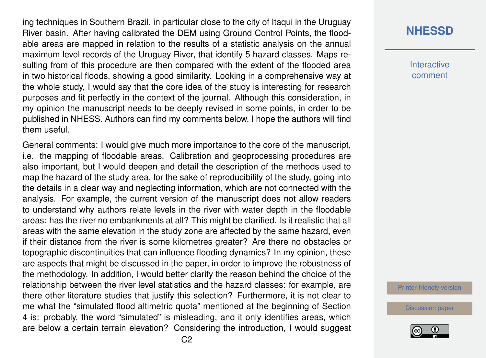ing techniques in Southern Brazil, in particular close to the city of Itaqui in the Uruguay River basin. After having calibrated the DEM using Ground Control Points, the floodable areas are mapped in relation to the results of a statistic analysis on the annual maximum level records of the Uruguay River, that identify 5 hazard classes. Maps resulting from of this procedure are then compared with the extent of the flooded area in two historical floods, showing a good similarity. Looking in a comprehensive way at the whole study, I would say that the core idea of the study is interesting for research purposes and fit perfectly in the context of the journal. Although this consideration, in my opinion the manuscript needs to be deeply revised in some points, in order to be published in NHESS. Authors can find my comments below, I hope the authors will find them useful.

General comments: I would give much more importance to the core of the manuscript, i.e. the mapping of floodable areas. Calibration and geoprocessing procedures are also important, but I would deepen and detail the description of the methods used to map the hazard of the study area, for the sake of reproducibility of the study, going into the details in a clear way and neglecting information, which are not connected with the analysis. For example, the current version of the manuscript does not allow readers to understand why authors relate levels in the river with water depth in the floodable areas: has the river no embankments at all? This might be clarified. Is it realistic that all areas with the same elevation in the study zone are affected by the same hazard, even if their distance from the river is some kilometres greater? Are there no obstacles or topographic discontinuities that can influence flooding dynamics? In my opinion, these are aspects that might be discussed in the paper, in order to improve the robustness of the methodology. In addition, I would better clarify the reason behind the choice of the relationship between the river level statistics and the hazard classes: for example, are there other literature studies that justify this selection? Furthermore, it is not clear to me what the "simulated flood altimetric quota" mentioned at the beginning of Section 4 is: probably, the word "simulated" is misleading, and it only identifies areas, which are below a certain terrain elevation? Considering the introduction, I would suggest

## **[NHESSD](https://www.nat-hazards-earth-syst-sci-discuss.net/)**

**Interactive** comment

[Printer-friendly version](https://www.nat-hazards-earth-syst-sci-discuss.net/nhess-2018-212/nhess-2018-212-RC2-print.pdf)

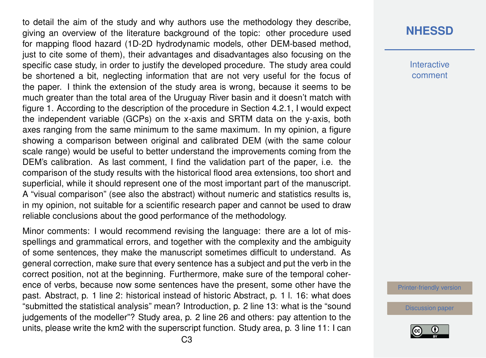to detail the aim of the study and why authors use the methodology they describe, giving an overview of the literature background of the topic: other procedure used for mapping flood hazard (1D-2D hydrodynamic models, other DEM-based method, just to cite some of them), their advantages and disadvantages also focusing on the specific case study, in order to justify the developed procedure. The study area could be shortened a bit, neglecting information that are not very useful for the focus of the paper. I think the extension of the study area is wrong, because it seems to be much greater than the total area of the Uruguay River basin and it doesn't match with figure 1. According to the description of the procedure in Section 4.2.1, I would expect the independent variable (GCPs) on the x-axis and SRTM data on the y-axis, both axes ranging from the same minimum to the same maximum. In my opinion, a figure showing a comparison between original and calibrated DEM (with the same colour scale range) would be useful to better understand the improvements coming from the DEM's calibration. As last comment, I find the validation part of the paper, i.e. the comparison of the study results with the historical flood area extensions, too short and superficial, while it should represent one of the most important part of the manuscript. A "visual comparison" (see also the abstract) without numeric and statistics results is, in my opinion, not suitable for a scientific research paper and cannot be used to draw reliable conclusions about the good performance of the methodology.

Minor comments: I would recommend revising the language: there are a lot of misspellings and grammatical errors, and together with the complexity and the ambiguity of some sentences, they make the manuscript sometimes difficult to understand. As general correction, make sure that every sentence has a subject and put the verb in the correct position, not at the beginning. Furthermore, make sure of the temporal coherence of verbs, because now some sentences have the present, some other have the past. Abstract, p. 1 line 2: historical instead of historic Abstract, p. 1 l. 16: what does "submitted the statistical analysis" mean? Introduction, p. 2 line 13: what is the "sound judgements of the modeller"? Study area, p. 2 line 26 and others: pay attention to the units, please write the km2 with the superscript function. Study area, p. 3 line 11: I can **Interactive** comment

[Printer-friendly version](https://www.nat-hazards-earth-syst-sci-discuss.net/nhess-2018-212/nhess-2018-212-RC2-print.pdf)